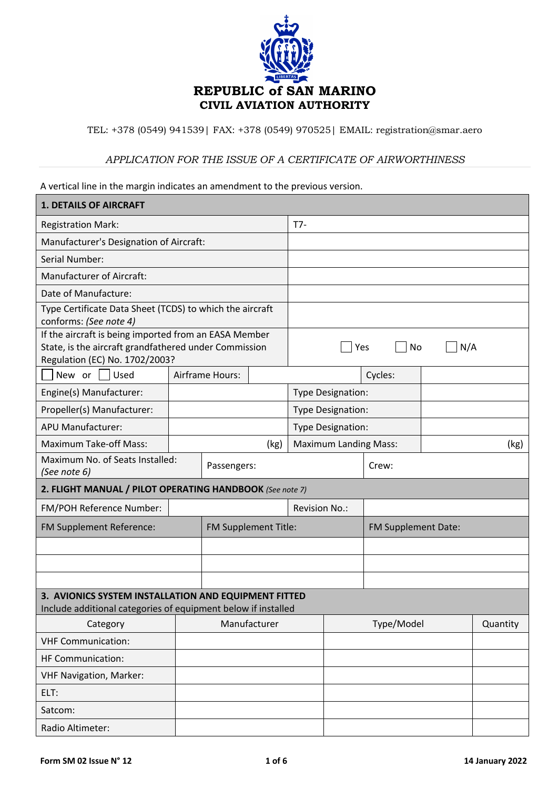

TEL: +378 (0549) 941539| FAX: +378 (0549) 970525| EMAIL: registration@smar.aero

## *APPLICATION FOR THE ISSUE OF A CERTIFICATE OF AIRWORTHINESS*

A vertical line in the margin indicates an amendment to the previous version.

| <b>1. DETAILS OF AIRCRAFT</b>                                                                                                                    |  |                        |                      |                              |            |                     |      |          |
|--------------------------------------------------------------------------------------------------------------------------------------------------|--|------------------------|----------------------|------------------------------|------------|---------------------|------|----------|
| <b>Registration Mark:</b>                                                                                                                        |  |                        |                      | $T7-$                        |            |                     |      |          |
| Manufacturer's Designation of Aircraft:                                                                                                          |  |                        |                      |                              |            |                     |      |          |
| Serial Number:                                                                                                                                   |  |                        |                      |                              |            |                     |      |          |
| Manufacturer of Aircraft:                                                                                                                        |  |                        |                      |                              |            |                     |      |          |
| Date of Manufacture:                                                                                                                             |  |                        |                      |                              |            |                     |      |          |
| Type Certificate Data Sheet (TCDS) to which the aircraft<br>conforms: (See note 4)                                                               |  |                        |                      |                              |            |                     |      |          |
| If the aircraft is being imported from an EASA Member<br>State, is the aircraft grandfathered under Commission<br>Regulation (EC) No. 1702/2003? |  |                        | N/A<br>Yes<br>No     |                              |            |                     |      |          |
| Used<br>New or $\vert \ \vert$                                                                                                                   |  | <b>Airframe Hours:</b> |                      |                              |            | Cycles:             |      |          |
| Engine(s) Manufacturer:                                                                                                                          |  |                        |                      | Type Designation:            |            |                     |      |          |
| Propeller(s) Manufacturer:                                                                                                                       |  |                        |                      | Type Designation:            |            |                     |      |          |
| <b>APU Manufacturer:</b>                                                                                                                         |  |                        |                      | Type Designation:            |            |                     |      |          |
| <b>Maximum Take-off Mass:</b>                                                                                                                    |  | (kg)                   |                      | <b>Maximum Landing Mass:</b> |            |                     | (kg) |          |
| Maximum No. of Seats Installed:<br>Passengers:<br>(See note 6)                                                                                   |  |                        | Crew:                |                              |            |                     |      |          |
| 2. FLIGHT MANUAL / PILOT OPERATING HANDBOOK (See note 7)                                                                                         |  |                        |                      |                              |            |                     |      |          |
| FM/POH Reference Number:                                                                                                                         |  |                        |                      | <b>Revision No.:</b>         |            |                     |      |          |
| FM Supplement Reference:                                                                                                                         |  |                        | FM Supplement Title: |                              |            | FM Supplement Date: |      |          |
|                                                                                                                                                  |  |                        |                      |                              |            |                     |      |          |
|                                                                                                                                                  |  |                        |                      |                              |            |                     |      |          |
|                                                                                                                                                  |  |                        |                      |                              |            |                     |      |          |
| 3. AVIONICS SYSTEM INSTALLATION AND EQUIPMENT FITTED<br>Include additional categories of equipment below if installed                            |  |                        |                      |                              |            |                     |      |          |
| Category                                                                                                                                         |  | Manufacturer           |                      |                              | Type/Model |                     |      | Quantity |
| <b>VHF Communication:</b>                                                                                                                        |  |                        |                      |                              |            |                     |      |          |
| HF Communication:                                                                                                                                |  |                        |                      |                              |            |                     |      |          |
| <b>VHF Navigation, Marker:</b>                                                                                                                   |  |                        |                      |                              |            |                     |      |          |
| ELT:                                                                                                                                             |  |                        |                      |                              |            |                     |      |          |
| Satcom:                                                                                                                                          |  |                        |                      |                              |            |                     |      |          |
| Radio Altimeter:                                                                                                                                 |  |                        |                      |                              |            |                     |      |          |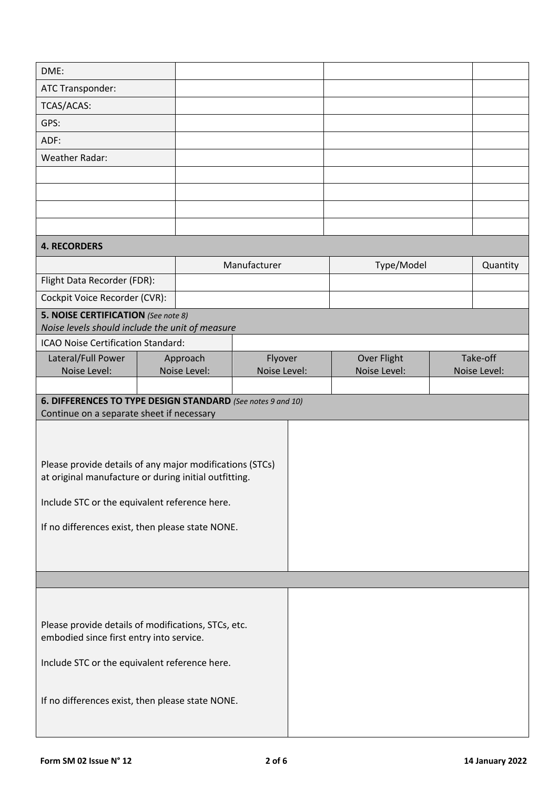| DME:                                                        |  |                          |                         |  |                                    |  |                          |
|-------------------------------------------------------------|--|--------------------------|-------------------------|--|------------------------------------|--|--------------------------|
| ATC Transponder:                                            |  |                          |                         |  |                                    |  |                          |
| TCAS/ACAS:                                                  |  |                          |                         |  |                                    |  |                          |
| GPS:                                                        |  |                          |                         |  |                                    |  |                          |
| ADF:                                                        |  |                          |                         |  |                                    |  |                          |
| <b>Weather Radar:</b>                                       |  |                          |                         |  |                                    |  |                          |
|                                                             |  |                          |                         |  |                                    |  |                          |
|                                                             |  |                          |                         |  |                                    |  |                          |
|                                                             |  |                          |                         |  |                                    |  |                          |
|                                                             |  |                          |                         |  |                                    |  |                          |
| <b>4. RECORDERS</b>                                         |  |                          |                         |  |                                    |  |                          |
|                                                             |  |                          | Manufacturer            |  | Type/Model                         |  | Quantity                 |
| Flight Data Recorder (FDR):                                 |  |                          |                         |  |                                    |  |                          |
| Cockpit Voice Recorder (CVR):                               |  |                          |                         |  |                                    |  |                          |
| 5. NOISE CERTIFICATION (See note 8)                         |  |                          |                         |  |                                    |  |                          |
| Noise levels should include the unit of measure             |  |                          |                         |  |                                    |  |                          |
| ICAO Noise Certification Standard:                          |  |                          |                         |  |                                    |  |                          |
| Lateral/Full Power<br>Noise Level:                          |  | Approach<br>Noise Level: | Flyover<br>Noise Level: |  | <b>Over Flight</b><br>Noise Level: |  | Take-off<br>Noise Level: |
|                                                             |  |                          |                         |  |                                    |  |                          |
| 6. DIFFERENCES TO TYPE DESIGN STANDARD (See notes 9 and 10) |  |                          |                         |  |                                    |  |                          |
| Continue on a separate sheet if necessary                   |  |                          |                         |  |                                    |  |                          |
|                                                             |  |                          |                         |  |                                    |  |                          |
|                                                             |  |                          |                         |  |                                    |  |                          |
| Please provide details of any major modifications (STCs)    |  |                          |                         |  |                                    |  |                          |
| at original manufacture or during initial outfitting.       |  |                          |                         |  |                                    |  |                          |
| Include STC or the equivalent reference here.               |  |                          |                         |  |                                    |  |                          |
|                                                             |  |                          |                         |  |                                    |  |                          |
| If no differences exist, then please state NONE.            |  |                          |                         |  |                                    |  |                          |
|                                                             |  |                          |                         |  |                                    |  |                          |
|                                                             |  |                          |                         |  |                                    |  |                          |
|                                                             |  |                          |                         |  |                                    |  |                          |
|                                                             |  |                          |                         |  |                                    |  |                          |
| Please provide details of modifications, STCs, etc.         |  |                          |                         |  |                                    |  |                          |
| embodied since first entry into service.                    |  |                          |                         |  |                                    |  |                          |
| Include STC or the equivalent reference here.               |  |                          |                         |  |                                    |  |                          |
|                                                             |  |                          |                         |  |                                    |  |                          |
|                                                             |  |                          |                         |  |                                    |  |                          |
|                                                             |  |                          |                         |  |                                    |  |                          |
|                                                             |  |                          |                         |  |                                    |  |                          |
| If no differences exist, then please state NONE.            |  |                          |                         |  |                                    |  |                          |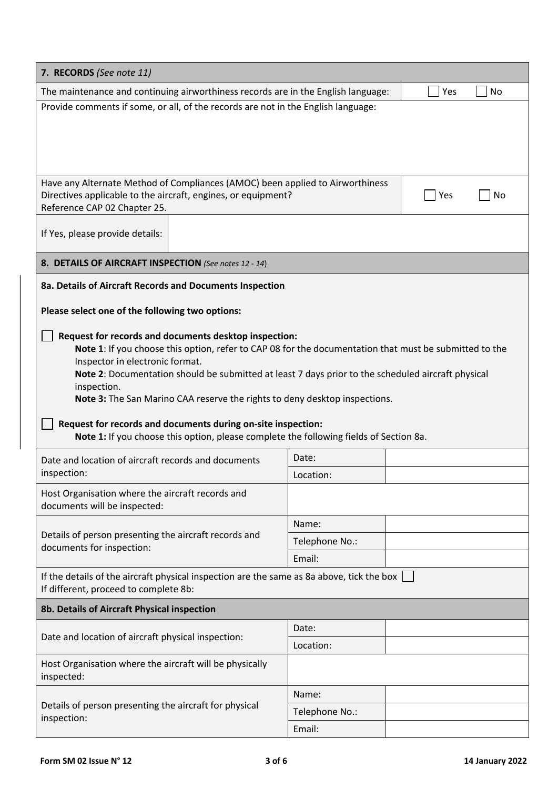| 7. RECORDS (See note 11)                                                                                                                                                                                                                                                                                                                                                                                                                                                                                                                                        |                |  |  |  |  |  |
|-----------------------------------------------------------------------------------------------------------------------------------------------------------------------------------------------------------------------------------------------------------------------------------------------------------------------------------------------------------------------------------------------------------------------------------------------------------------------------------------------------------------------------------------------------------------|----------------|--|--|--|--|--|
| The maintenance and continuing airworthiness records are in the English language:<br>Yes<br>No                                                                                                                                                                                                                                                                                                                                                                                                                                                                  |                |  |  |  |  |  |
| Provide comments if some, or all, of the records are not in the English language:                                                                                                                                                                                                                                                                                                                                                                                                                                                                               |                |  |  |  |  |  |
| Have any Alternate Method of Compliances (AMOC) been applied to Airworthiness<br>Directives applicable to the aircraft, engines, or equipment?<br>Yes<br>No<br>Reference CAP 02 Chapter 25.                                                                                                                                                                                                                                                                                                                                                                     |                |  |  |  |  |  |
| If Yes, please provide details:                                                                                                                                                                                                                                                                                                                                                                                                                                                                                                                                 |                |  |  |  |  |  |
| 8. DETAILS OF AIRCRAFT INSPECTION (See notes 12 - 14)                                                                                                                                                                                                                                                                                                                                                                                                                                                                                                           |                |  |  |  |  |  |
| 8a. Details of Aircraft Records and Documents Inspection                                                                                                                                                                                                                                                                                                                                                                                                                                                                                                        |                |  |  |  |  |  |
| Please select one of the following two options:                                                                                                                                                                                                                                                                                                                                                                                                                                                                                                                 |                |  |  |  |  |  |
|                                                                                                                                                                                                                                                                                                                                                                                                                                                                                                                                                                 |                |  |  |  |  |  |
| Request for records and documents desktop inspection:<br>Note 1: If you choose this option, refer to CAP 08 for the documentation that must be submitted to the<br>Inspector in electronic format.<br>Note 2: Documentation should be submitted at least 7 days prior to the scheduled aircraft physical<br>inspection.<br>Note 3: The San Marino CAA reserve the rights to deny desktop inspections.<br>Request for records and documents during on-site inspection:<br>Note 1: If you choose this option, please complete the following fields of Section 8a. |                |  |  |  |  |  |
| Date and location of aircraft records and documents                                                                                                                                                                                                                                                                                                                                                                                                                                                                                                             | Date:          |  |  |  |  |  |
| inspection:                                                                                                                                                                                                                                                                                                                                                                                                                                                                                                                                                     | Location:      |  |  |  |  |  |
| Host Organisation where the aircraft records and<br>documents will be inspected:                                                                                                                                                                                                                                                                                                                                                                                                                                                                                |                |  |  |  |  |  |
|                                                                                                                                                                                                                                                                                                                                                                                                                                                                                                                                                                 | Name:          |  |  |  |  |  |
| Details of person presenting the aircraft records and<br>documents for inspection:                                                                                                                                                                                                                                                                                                                                                                                                                                                                              | Telephone No.: |  |  |  |  |  |
|                                                                                                                                                                                                                                                                                                                                                                                                                                                                                                                                                                 | Email:         |  |  |  |  |  |
| If the details of the aircraft physical inspection are the same as 8a above, tick the box $\vert$<br>If different, proceed to complete 8b:                                                                                                                                                                                                                                                                                                                                                                                                                      |                |  |  |  |  |  |
| 8b. Details of Aircraft Physical inspection                                                                                                                                                                                                                                                                                                                                                                                                                                                                                                                     |                |  |  |  |  |  |
|                                                                                                                                                                                                                                                                                                                                                                                                                                                                                                                                                                 | Date:          |  |  |  |  |  |
| Date and location of aircraft physical inspection:                                                                                                                                                                                                                                                                                                                                                                                                                                                                                                              | Location:      |  |  |  |  |  |
| Host Organisation where the aircraft will be physically<br>inspected:                                                                                                                                                                                                                                                                                                                                                                                                                                                                                           |                |  |  |  |  |  |
|                                                                                                                                                                                                                                                                                                                                                                                                                                                                                                                                                                 | Name:          |  |  |  |  |  |
| Details of person presenting the aircraft for physical<br>inspection:                                                                                                                                                                                                                                                                                                                                                                                                                                                                                           | Telephone No.: |  |  |  |  |  |
|                                                                                                                                                                                                                                                                                                                                                                                                                                                                                                                                                                 | Email:         |  |  |  |  |  |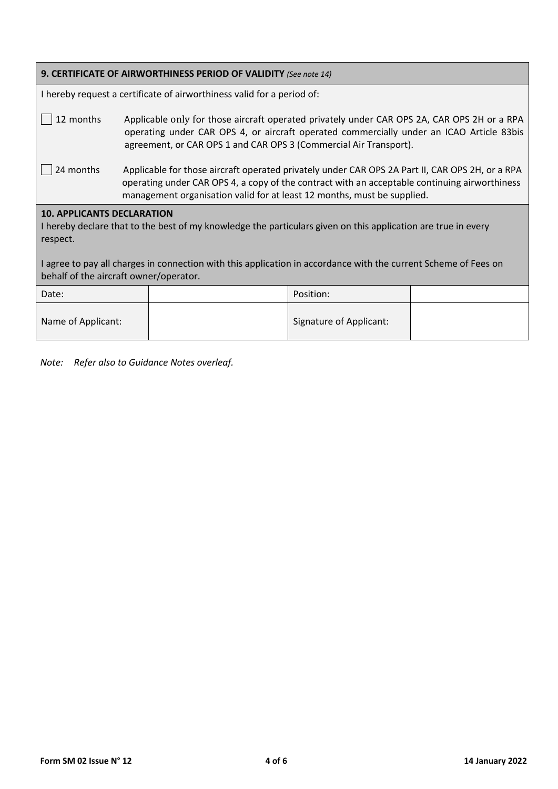| 9. CERTIFICATE OF AIRWORTHINESS PERIOD OF VALIDITY (See note 14)                                                                                                                                                                                                                                                            |                                                                                                                                                                                                                                                                             |                         |  |  |  |  |
|-----------------------------------------------------------------------------------------------------------------------------------------------------------------------------------------------------------------------------------------------------------------------------------------------------------------------------|-----------------------------------------------------------------------------------------------------------------------------------------------------------------------------------------------------------------------------------------------------------------------------|-------------------------|--|--|--|--|
| I hereby request a certificate of airworthiness valid for a period of:                                                                                                                                                                                                                                                      |                                                                                                                                                                                                                                                                             |                         |  |  |  |  |
| 12 months                                                                                                                                                                                                                                                                                                                   | Applicable only for those aircraft operated privately under CAR OPS 2A, CAR OPS 2H or a RPA<br>operating under CAR OPS 4, or aircraft operated commercially under an ICAO Article 83bis<br>agreement, or CAR OPS 1 and CAR OPS 3 (Commercial Air Transport).                |                         |  |  |  |  |
| 24 months                                                                                                                                                                                                                                                                                                                   | Applicable for those aircraft operated privately under CAR OPS 2A Part II, CAR OPS 2H, or a RPA<br>operating under CAR OPS 4, a copy of the contract with an acceptable continuing airworthiness<br>management organisation valid for at least 12 months, must be supplied. |                         |  |  |  |  |
| <b>10. APPLICANTS DECLARATION</b><br>I hereby declare that to the best of my knowledge the particulars given on this application are true in every<br>respect.<br>I agree to pay all charges in connection with this application in accordance with the current Scheme of Fees on<br>behalf of the aircraft owner/operator. |                                                                                                                                                                                                                                                                             |                         |  |  |  |  |
|                                                                                                                                                                                                                                                                                                                             |                                                                                                                                                                                                                                                                             |                         |  |  |  |  |
| Date:                                                                                                                                                                                                                                                                                                                       |                                                                                                                                                                                                                                                                             | Position:               |  |  |  |  |
| Name of Applicant:                                                                                                                                                                                                                                                                                                          |                                                                                                                                                                                                                                                                             | Signature of Applicant: |  |  |  |  |

*Note: Refer also to Guidance Notes overleaf.*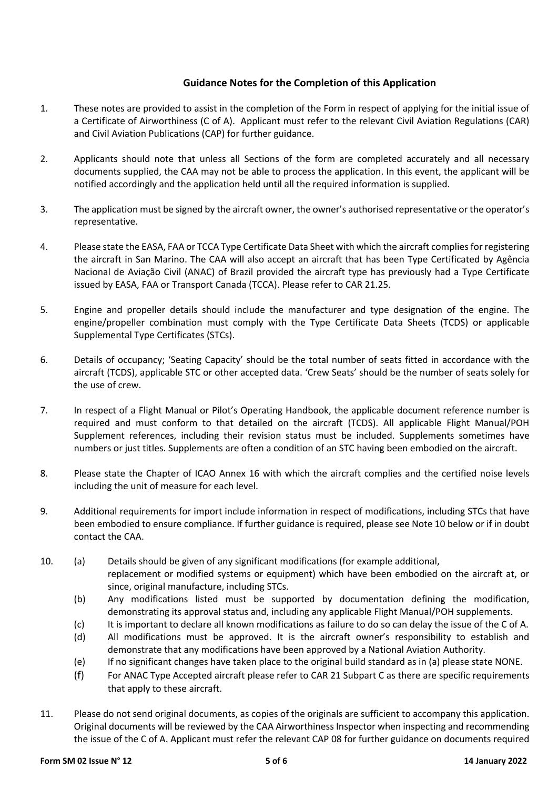## **Guidance Notes for the Completion of this Application**

- 1. These notes are provided to assist in the completion of the Form in respect of applying for the initial issue of a Certificate of Airworthiness (C of A). Applicant must refer to the relevant Civil Aviation Regulations (CAR) and Civil Aviation Publications (CAP) for further guidance.
- 2. Applicants should note that unless all Sections of the form are completed accurately and all necessary documents supplied, the CAA may not be able to process the application. In this event, the applicant will be notified accordingly and the application held until all the required information is supplied.
- 3. The application must be signed by the aircraft owner, the owner's authorised representative or the operator's representative.
- 4. Please state the EASA, FAA or TCCA Type Certificate Data Sheet with which the aircraft compliesfor registering the aircraft in San Marino. The CAA will also accept an aircraft that has been Type Certificated by Agência Nacional de Aviação Civil (ANAC) of Brazil provided the aircraft type has previously had a Type Certificate issued by EASA, FAA or Transport Canada (TCCA). Please refer to CAR 21.25.
- 5. Engine and propeller details should include the manufacturer and type designation of the engine. The engine/propeller combination must comply with the Type Certificate Data Sheets (TCDS) or applicable Supplemental Type Certificates (STCs).
- 6. Details of occupancy; 'Seating Capacity' should be the total number of seats fitted in accordance with the aircraft (TCDS), applicable STC or other accepted data. 'Crew Seats' should be the number of seats solely for the use of crew.
- 7. In respect of a Flight Manual or Pilot's Operating Handbook, the applicable document reference number is required and must conform to that detailed on the aircraft (TCDS). All applicable Flight Manual/POH Supplement references, including their revision status must be included. Supplements sometimes have numbers or just titles. Supplements are often a condition of an STC having been embodied on the aircraft.
- 8. Please state the Chapter of ICAO Annex 16 with which the aircraft complies and the certified noise levels including the unit of measure for each level.
- 9. Additional requirements for import include information in respect of modifications, including STCs that have been embodied to ensure compliance. If further guidance is required, please see Note 10 below or if in doubt contact the CAA.
- 10. (a) Details should be given of any significant modifications (for example additional, replacement or modified systems or equipment) which have been embodied on the aircraft at, or since, original manufacture, including STCs.
	- (b) Any modifications listed must be supported by documentation defining the modification, demonstrating its approval status and, including any applicable Flight Manual/POH supplements.
	- (c) It is important to declare all known modifications as failure to do so can delay the issue of the C of A.
	- (d) All modifications must be approved. It is the aircraft owner's responsibility to establish and demonstrate that any modifications have been approved by a National Aviation Authority.
	- (e) If no significant changes have taken place to the original build standard as in (a) please state NONE.
	- (f) For ANAC Type Accepted aircraft please refer to CAR 21 Subpart C as there are specific requirements that apply to these aircraft.
- 11. Please do not send original documents, as copies of the originals are sufficient to accompany this application. Original documents will be reviewed by the CAA Airworthiness Inspector when inspecting and recommending the issue of the C of A. Applicant must refer the relevant CAP 08 for further guidance on documents required